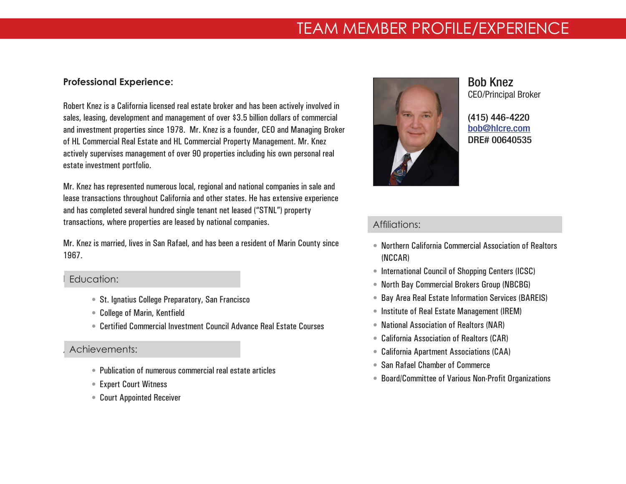# TEAM MEMBER PROFILE/EXPERIENCE

## **Professional Experience:**

Robert Knez is a California licensed real estate broker and has been actively involved in sales, leasing, development and management of over \$3.5 billion dollars of commercial and investment properties since 1978. Mr. Knez is a founder, CEO and Managing Broker of HL Commercial Real Estate and HL Commercial Property Management. Mr. Knez actively supervises management of over 90 properties including his own personal real estate investment portfolio.

Mr. Knez has represented numerous local, regional and national companies in sale and lease transactions throughout California and other states. He has extensive experience and has completed several hundred single tenant net leased ("STNL") property transactions, where properties are leased by national companies.

Mr. Knez is married, lives in San Rafael, and has been a resident of Marin County since 1967.

#### Education: Education:

- St. Ignatius College Preparatory, San Francisco
- College of Marin, Kentfield
- Certified Commercial Investment Council Advance Real Estate Courses

# Achievements: Achievements:

- Publication of numerous commercial real estate articles
- Expert Court Witness
- Court Appointed Receiver



Bob Knez CEO/Principal Broker

(415) 446-4220 bob[@hlcre.com](mailto:bob%40hlcre.com?subject=) DRE# 00640535

# Affiliations: Affiliations:

- Northern California Commercial Association of Realtors (NCCAR)
- International Council of Shopping Centers (ICSC)
- North Bay Commercial Brokers Group (NBCBG)
- Bay Area Real Estate Information Services (BAREIS)
- Institute of Real Estate Management (IREM)
- National Association of Realtors (NAR)
- California Association of Realtors (CAR)
- California Apartment Associations (CAA)
- San Rafael Chamber of Commerce
- Board/Committee of Various Non-Profit Organizations